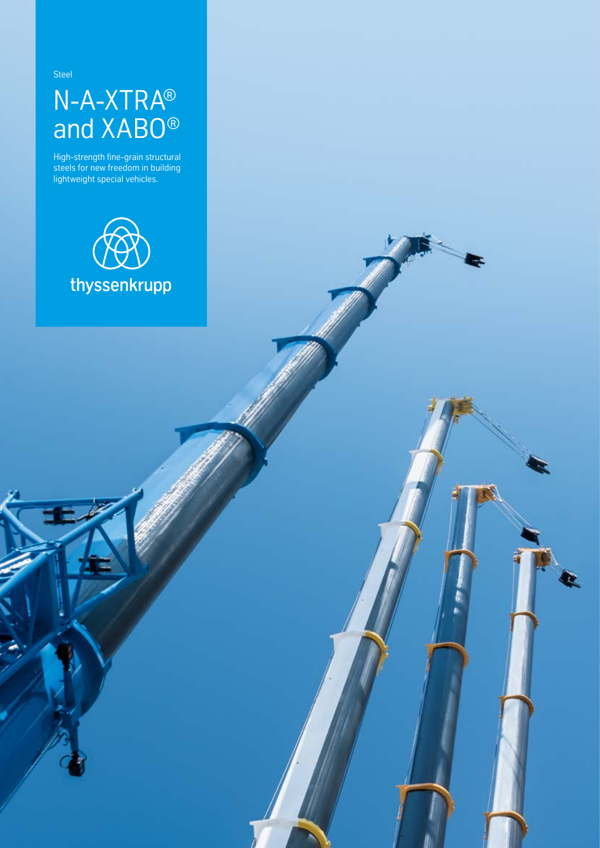Steel

## N-A-XTRA® and XABO®

High-strength fine-grain structural steels for new freedom in building lightweight special vehicles.

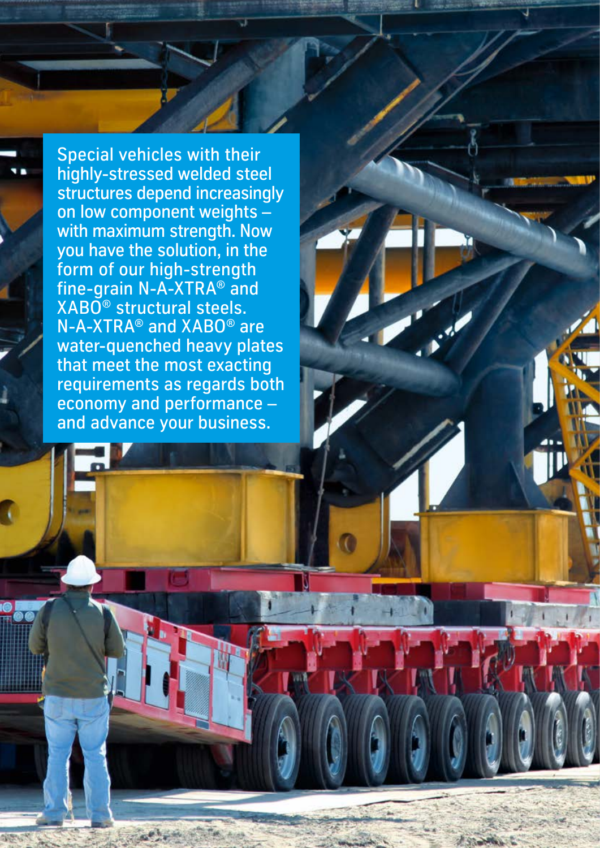Special vehicles with their highly-stressed welded steel structures depend increasingly on low component weights – with maximum strength. Now you have the solution, in the form of our high-strength fine-grain N-A-XTRA® and XABO® structural steels. N-A-XTRA® and XABO® are water-quenched heavy plates that meet the most exacting requirements as regards both economy and performance – and advance your business.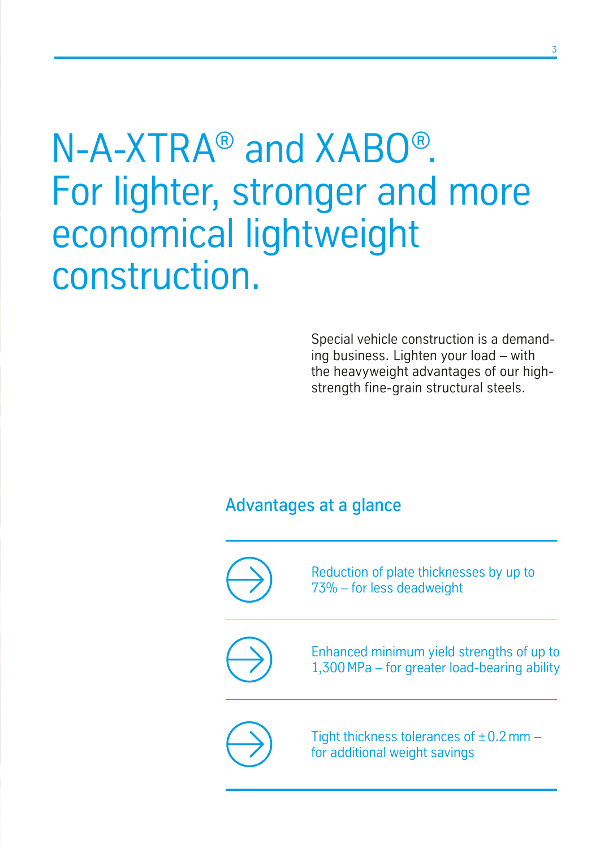## N-A-XTRA® and XABO® . For lighter, stronger and more economical lightweight construction.

Special vehicle construction is a demanding business. Lighten your load – with the heavyweight advantages of our highstrength fine-grain structural steels.

## Advantages at a glance

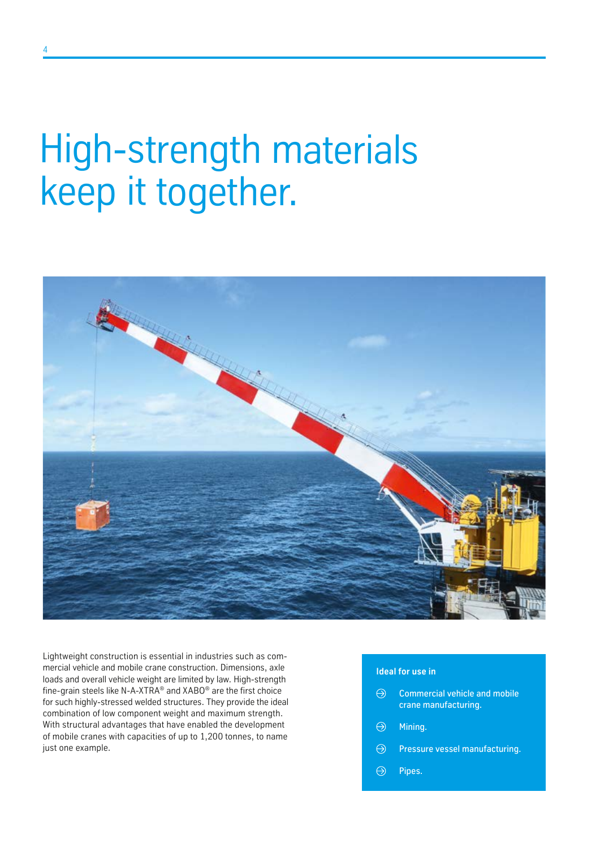## High-strength materials keep it together.



Lightweight construction is essential in industries such as commercial vehicle and mobile crane construction. Dimensions, axle loads and overall vehicle weight are limited by law. High-strength fine-grain steels like N-A-XTRA® and XABO® are the first choice for such highly-stressed welded structures. They provide the ideal combination of low component weight and maximum strength. With structural advantages that have enabled the development of mobile cranes with capacities of up to 1,200 tonnes, to name just one example.

### **Ideal for use in**

- $\Theta$  Commercial vehicle and mobile crane manufacturing.
- $\Theta$ Mining.
- $\Theta$  Pressure vessel manufacturing.
- $\Theta$ Pipes.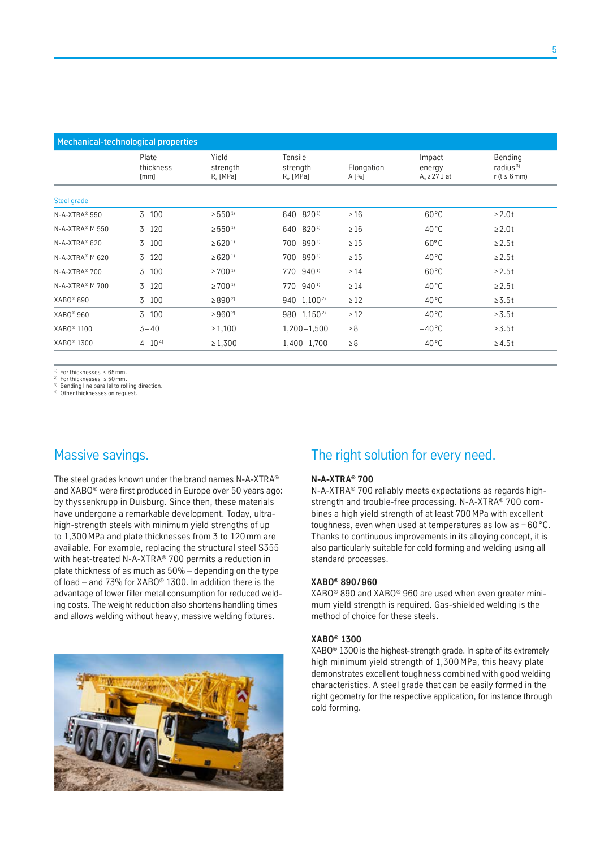| Mechanical-technological properties |                            |                                           |                                    |                     |                                        |                                            |
|-------------------------------------|----------------------------|-------------------------------------------|------------------------------------|---------------------|----------------------------------------|--------------------------------------------|
|                                     | Plate<br>thickness<br>[mm] | Yield<br>strength<br>R <sub>e</sub> [MPa] | Tensile<br>strength<br>$R_m$ [MPa] | Elongation<br>A [%] | Impact<br>energy<br>$A_v \geq 27$ J at | Bending<br>radius $3$<br>r (t $\leq 6$ mm) |
| Steel grade                         |                            |                                           |                                    |                     |                                        |                                            |
| N-A-XTRA® 550                       | $3 - 100$                  | $\geq 550^{1}$                            | $640 - 820$ <sup>1)</sup>          | $\geq 16$           | $-60^{\circ}$ C                        | $\geq 2.0t$                                |
| N-A-XTRA® M 550                     | $3 - 120$                  | $\geq 550^{11}$                           | $640 - 820$ <sup>1)</sup>          | $\geq 16$           | $-40^{\circ}$ C                        | $\geq 2.0t$                                |
| N-A-XTRA® 620                       | $3 - 100$                  | $\geq 620^{11}$                           | $700 - 890$ <sup>1)</sup>          | $\geq 15$           | $-60^{\circ}$ C                        | $\geq 2.5t$                                |
| N-A-XTRA® M 620                     | $3 - 120$                  | $\geq 620^{11}$                           | $700 - 890$ <sup>1)</sup>          | $\geq 15$           | $-40^{\circ}$ C                        | $\geq 2.5t$                                |
| $N-A-XTRA^*$ 700                    | $3 - 100$                  | $\geq$ 700 <sup>1</sup>                   | $770 - 940$ <sup>1)</sup>          | $\geq 14$           | $-60^{\circ}$ C                        | $\geq 2.5t$                                |
| N-A-XTRA <sup>®</sup> M 700         | $3 - 120$                  | $\geq$ 700 <sup>1</sup>                   | $770 - 940$ <sup>1)</sup>          | $\geq 14$           | $-40^{\circ}$ C                        | $\geq 2.5t$                                |
| XABO <sup>®</sup> 890               | $3 - 100$                  | $\geq$ 890 <sup>2)</sup>                  | $940 - 1,100^{2}$                  | $\geq 12$           | $-40^{\circ}$ C                        | $\geq 3.5t$                                |
| XABO <sup>®</sup> 960               | $3 - 100$                  | $\geq 960^{2}$                            | $980 - 1,150^{2}$                  | $\geq 12$           | $-40^{\circ}$ C                        | $\geq 3.5t$                                |
| XABO <sup>®</sup> 1100              | $3 - 40$                   | $\geq 1,100$                              | $1,200 - 1,500$                    | $\geq 8$            | $-40^{\circ}$ C                        | $\geq 3.5t$                                |
| XABO <sup>®</sup> 1300              | $4 - 10^{4}$               | $\ge 1,300$                               | 1,400-1,700                        | $\geq 8$            | $-40^{\circ}$ C                        | $\geq 4.5t$                                |

<sup>1)</sup> For thicknesses  $\leq 65$  mm.

2) For thicknesses ≤ 50mm.

<sup>3)</sup> Bending line parallel to rolling direction. 4) Other thicknesses on request.

## Massive savings.

The steel grades known under the brand names N-A-XTRA® and XABO® were first produced in Europe over 50 years ago: by thyssenkrupp in Duisburg. Since then, these materials have undergone a remarkable development. Today, ultrahigh-strength steels with minimum yield strengths of up to 1,300 MPa and plate thicknesses from 3 to 120mm are available. For example, replacing the structural steel S355 with heat-treated N-A-XTRA® 700 permits a reduction in plate thickness of as much as 50% – depending on the type of load – and 73% for XABO® 1300. In addition there is the advantage of lower filler metal consumption for reduced welding costs. The weight reduction also shortens handling times and allows welding without heavy, massive welding fixtures.



## The right solution for every need.

### **N-A-XTRA® 700**

N-A-XTRA® 700 reliably meets expectations as regards highstrength and trouble-free processing. N-A-XTRA® 700 combines a high yield strength of at least 700 MPa with excellent toughness, even when used at temperatures as low as − 60 °C. Thanks to continuous improvements in its alloying concept, it is also particularly suitable for cold forming and welding using all standard processes.

#### **XABO® 890/960**

XABO® 890 and XABO® 960 are used when even greater minimum yield strength is required. Gas-shielded welding is the method of choice for these steels.

#### **XABO® 1300**

XABO® 1300 is the highest-strength grade. In spite of its extremely high minimum yield strength of 1,300 MPa, this heavy plate demonstrates excellent toughness combined with good welding characteristics. A steel grade that can be easily formed in the right geometry for the respective application, for instance through cold forming.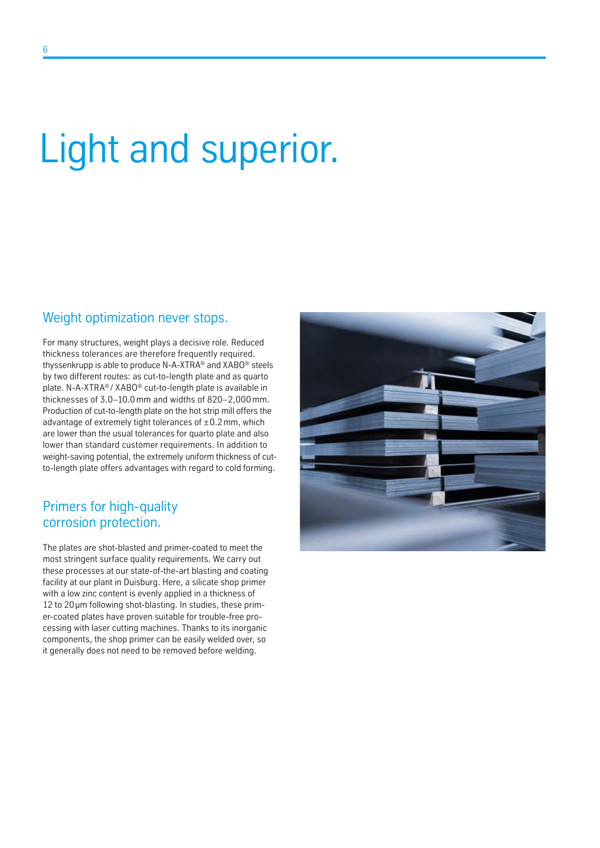# Light and superior.

### Weight optimization never stops.

For many structures, weight plays a decisive role. Reduced thickness tolerances are therefore frequently required. thyssenkrupp is able to produce N-A-XTRA® and XABO® steels by two different routes: as cut-to-length plate and as quarto plate. N-A-XTRA® / XABO® cut-to-length plate is available in thicknesses of 3.0–10.0mm and widths of 820–2,000mm. Production of cut-to-length plate on the hot strip mill offers the advantage of extremely tight tolerances of  $\pm$  0.2 mm, which are lower than the usual tolerances for quarto plate and also lower than standard customer requirements. In addition to weight-saving potential, the extremely uniform thickness of cutto-length plate offers advantages with regard to cold forming.

### Primers for high-quality corrosion protection.

The plates are shot-blasted and primer-coated to meet the most stringent surface quality requirements. We carry out these processes at our state-of-the-art blasting and coating facility at our plant in Duisburg. Here, a silicate shop primer with a low zinc content is evenly applied in a thickness of 12 to 20 um following shot-blasting. In studies, these primer-coated plates have proven suitable for trouble-free processing with laser cutting machines. Thanks to its inorganic components, the shop primer can be easily welded over, so it generally does not need to be removed before welding.

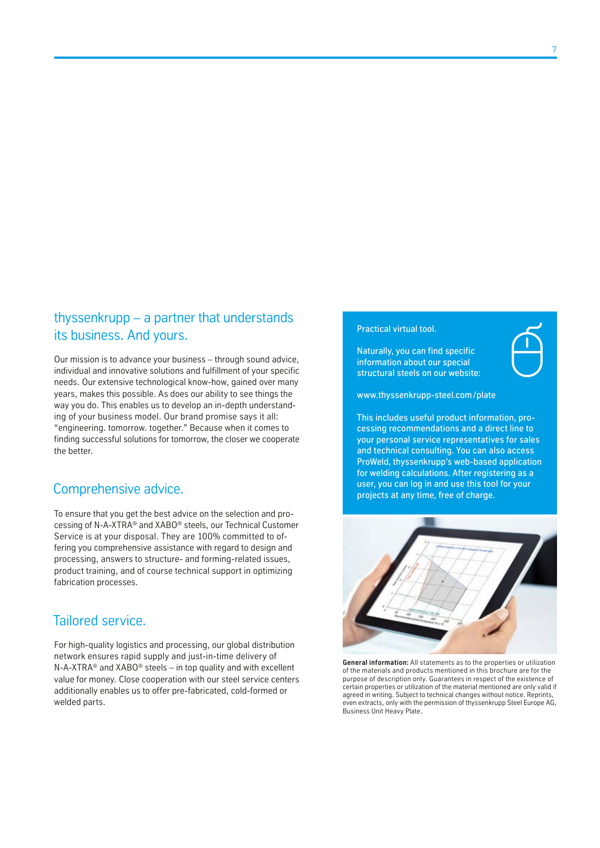### thyssenkrupp – a partner that understands its business. And yours.

Our mission is to advance your business – through sound advice, individual and innovative solutions and fulfillment of your specific needs. Our extensive technological know-how, gained over many years, makes this possible. As does our ability to see things the way you do. This enables us to develop an in-depth understanding of your business model. Our brand promise says it all: "engineering. tomorrow. together." Because when it comes to finding successful solutions for tomorrow, the closer we cooperate the better.

## Comprehensive advice.

To ensure that you get the best advice on the selection and processing of N-A-XTRA® and XABO® steels, our Technical Customer Service is at your disposal. They are 100% committed to offering you comprehensive assistance with regard to design and processing, answers to structure- and forming-related issues, product training, and of course technical support in optimizing fabrication processes.

## Tailored service.

For high-quality logistics and processing, our global distribution network ensures rapid supply and just-in-time delivery of N-A-XTRA® and XABO® steels – in top quality and with excellent value for money. Close cooperation with our steel service centers additionally enables us to offer pre-fabricated, cold-formed or welded parts.

### Practical virtual tool.

Naturally, you can find specific information about our special structural steels on our website:



www.thyssenkrupp-steel.com/plate

This includes useful product information, processing recommendations and a direct line to your personal service representatives for sales and technical consulting. You can also access ProWeld, thyssenkrupp's web-based application for welding calculations. After registering as a user, you can log in and use this tool for your projects at any time, free of charge.



**General information:** All statements as to the properties or utilization of the materials and products mentioned in this brochure are for the purpose of description only. Guarantees in respect of the existence of certain properties or utilization of the material mentioned are only valid if agreed in writing. Subject to technical changes without notice. Reprints, even extracts, only with the permission of thyssenkrupp Steel Europe AG, Business Unit Heavy Plate.